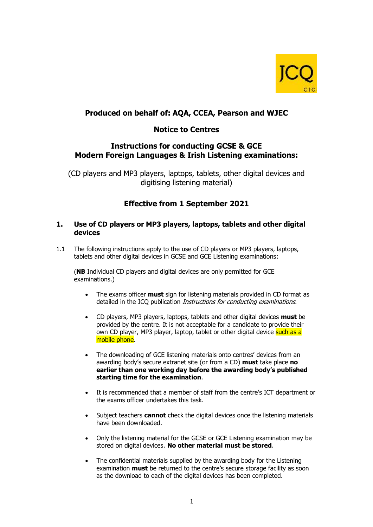

# **Produced on behalf of: AQA, CCEA, Pearson and WJEC**

## **Notice to Centres**

## **Instructions for conducting GCSE & GCE Modern Foreign Languages & Irish Listening examinations:**

(CD players and MP3 players, laptops, tablets, other digital devices and digitising listening material)

# **Effective from 1 September 2021**

#### **1. Use of CD players or MP3 players, laptops, tablets and other digital devices**

1.1 The following instructions apply to the use of CD players or MP3 players, laptops, tablets and other digital devices in GCSE and GCE Listening examinations:

(**NB** Individual CD players and digital devices are only permitted for GCE examinations.)

- The exams officer **must** sign for listening materials provided in CD format as detailed in the JCQ publication Instructions for conducting examinations.
- CD players, MP3 players, laptops, tablets and other digital devices **must** be provided by the centre. It is not acceptable for a candidate to provide their own CD player, MP3 player, laptop, tablet or other digital device such as a mobile phone.
- The downloading of GCE listening materials onto centres' devices from an awarding body's secure extranet site (or from a CD) **must** take place **no earlier than one working day before the awarding body's published starting time for the examination**.
- It is recommended that a member of staff from the centre's ICT department or the exams officer undertakes this task.
- Subject teachers **cannot** check the digital devices once the listening materials have been downloaded.
- Only the listening material for the GCSE or GCE Listening examination may be stored on digital devices. **No other material must be stored**.
- The confidential materials supplied by the awarding body for the Listening examination **must** be returned to the centre's secure storage facility as soon as the download to each of the digital devices has been completed.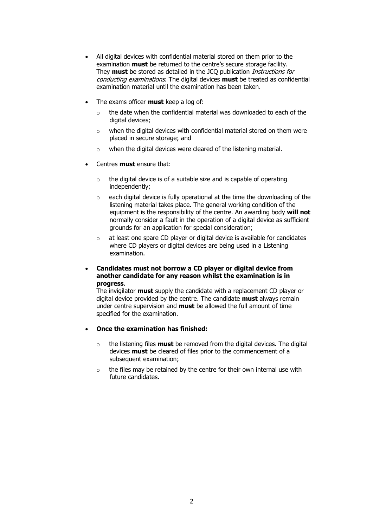- All digital devices with confidential material stored on them prior to the examination **must** be returned to the centre's secure storage facility. They **must** be stored as detailed in the JCQ publication Instructions for conducting examinations. The digital devices **must** be treated as confidential examination material until the examination has been taken.
- The exams officer **must** keep a log of:
	- o the date when the confidential material was downloaded to each of the digital devices;
	- o when the digital devices with confidential material stored on them were placed in secure storage; and
	- o when the digital devices were cleared of the listening material.
- Centres **must** ensure that:
	- $\circ$  the digital device is of a suitable size and is capable of operating independently;
	- o each digital device is fully operational at the time the downloading of the listening material takes place. The general working condition of the equipment is the responsibility of the centre. An awarding body **will not** normally consider a fault in the operation of a digital device as sufficient grounds for an application for special consideration;
	- o at least one spare CD player or digital device is available for candidates where CD players or digital devices are being used in a Listening examination.
- **Candidates must not borrow a CD player or digital device from another candidate for any reason whilst the examination is in progress**.

The invigilator **must** supply the candidate with a replacement CD player or digital device provided by the centre. The candidate **must** always remain under centre supervision and **must** be allowed the full amount of time specified for the examination.

- **Once the examination has finished:**
	- o the listening files **must** be removed from the digital devices. The digital devices **must** be cleared of files prior to the commencement of a subsequent examination;
	- $\circ$  the files may be retained by the centre for their own internal use with future candidates.